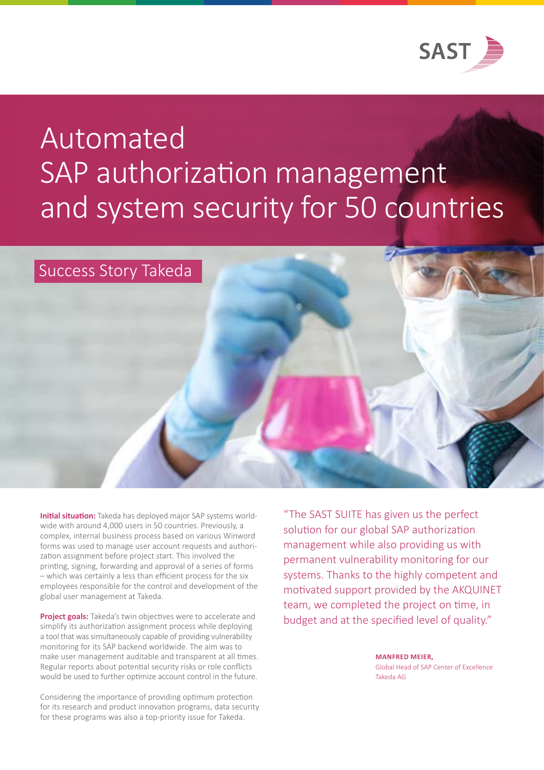

# Automated SAP authorization management and system security for 50 countries

### Success Story Takeda

**Initial situation:** Takeda has deployed major SAP systems worldwide with around 4,000 users in 50 countries. Previously, a complex, internal business process based on various Winword forms was used to manage user account requests and authorization assignment before project start. This involved the printing, signing, forwarding and approval of a series of forms – which was certainly a less than efficient process for the six employees responsible for the control and development of the global user management at Takeda.

**Project goals:** Takeda's twin objectives were to accelerate and simplify its authorization assignment process while deploying a tool that was simultaneously capable of providing vulnerability monitoring for its SAP backend worldwide. The aim was to make user management auditable and transparent at all times. Regular reports about potential security risks or role conflicts would be used to further optimize account control in the future.

Considering the importance of providing optimum protection for its research and product innovation programs, data security for these programs was also a top-priority issue for Takeda.

"The SAST SUITE has given us the perfect solution for our global SAP authorization management while also providing us with permanent vulnerability monitoring for our systems. Thanks to the highly competent and motivated support provided by the AKQUINET team, we completed the project on time, in budget and at the specified level of quality."

> **MANFRED MEIER,** Global Head of SAP Center of Excellence Takeda AG